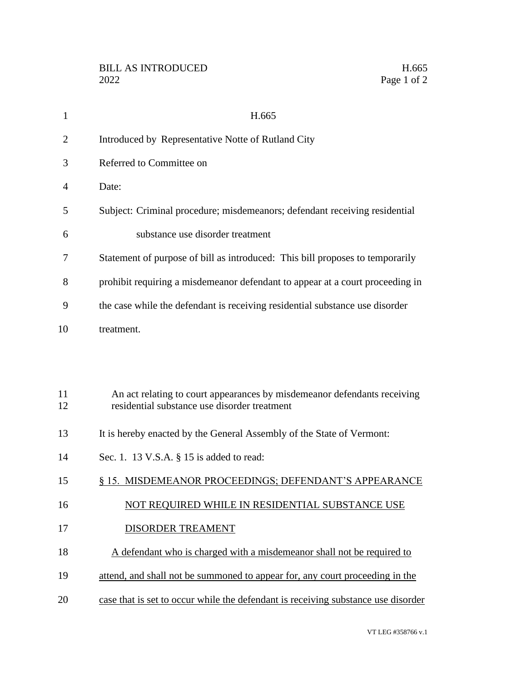| $\mathbf{1}$   | H.665                                                                                                                    |
|----------------|--------------------------------------------------------------------------------------------------------------------------|
| $\overline{2}$ | Introduced by Representative Notte of Rutland City                                                                       |
| 3              | Referred to Committee on                                                                                                 |
| 4              | Date:                                                                                                                    |
| 5              | Subject: Criminal procedure; misdemeanors; defendant receiving residential                                               |
| 6              | substance use disorder treatment                                                                                         |
| 7              | Statement of purpose of bill as introduced: This bill proposes to temporarily                                            |
| 8              | prohibit requiring a misdemeanor defendant to appear at a court proceeding in                                            |
| 9              | the case while the defendant is receiving residential substance use disorder                                             |
| 10             | treatment.                                                                                                               |
|                |                                                                                                                          |
|                |                                                                                                                          |
| 11<br>12       | An act relating to court appearances by misdemeanor defendants receiving<br>residential substance use disorder treatment |
| 13             | It is hereby enacted by the General Assembly of the State of Vermont:                                                    |
| 14             | Sec. 1. 13 V.S.A. § 15 is added to read:                                                                                 |
| 15             | § 15. MISDEMEANOR PROCEEDINGS; DEFENDANT'S APPEARANCE                                                                    |
| 16             | NOT REOUIRED WHILE IN RESIDENTIAL SUBSTANCE USE                                                                          |
| 17             | DISORDER TREAMENT                                                                                                        |
| 18             | A defendant who is charged with a misdemeanor shall not be required to                                                   |
| 19             | attend, and shall not be summoned to appear for, any court proceeding in the                                             |
| 20             | case that is set to occur while the defendant is receiving substance use disorder                                        |